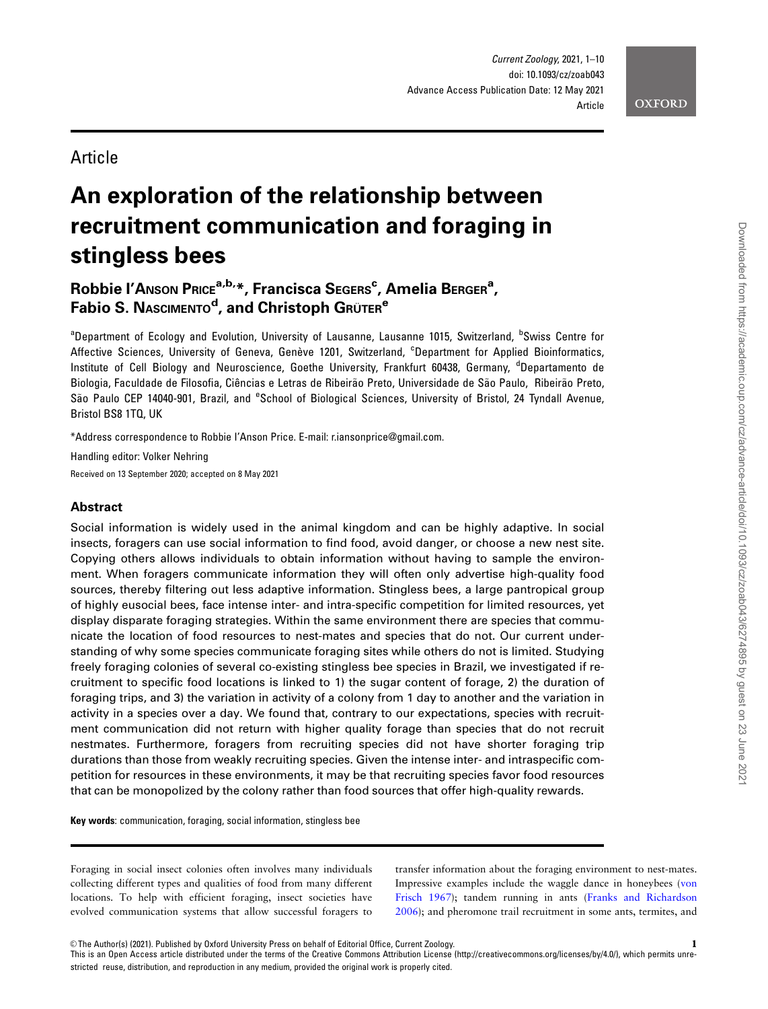

# **Article**

# An exploration of the relationship between recruitment communication and foraging in stingless bees

# Robbie l'Anson Price<sup>a,b,</sup>\*, Francisca Segers<sup>c</sup>, Amelia Berger<sup>a</sup>, Fabio S. NAsciмемто<sup>d</sup>, and Christoph Grüтеr<sup>e</sup>

<sup>a</sup>Department of Ecology and Evolution, University of Lausanne, Lausanne 1015, Switzerland, <sup>b</sup>Swiss Centre for Affective Sciences, University of Geneva, Genève 1201, Switzerland, <sup>c</sup>Department for Applied Bioinformatics, Institute of Cell Biology and Neuroscience, Goethe University, Frankfurt 60438, Germany, <sup>d</sup>Departamento de Biologia, Faculdade de Filosofia, Ciências e Letras de Ribeirão Preto, Universidade de São Paulo, Ribeirão Preto, São Paulo CEP 14040-901, Brazil, and <sup>e</sup>School of Biological Sciences, University of Bristol, 24 Tyndall Avenue, Bristol BS8 1TQ, UK

\*Address correspondence to Robbie I'Anson Price. E-mail: r.iansonprice@gmail.com.

Handling editor: Volker Nehring

Received on 13 September 2020; accepted on 8 May 2021

# Abstract

Social information is widely used in the animal kingdom and can be highly adaptive. In social insects, foragers can use social information to find food, avoid danger, or choose a new nest site. Copying others allows individuals to obtain information without having to sample the environment. When foragers communicate information they will often only advertise high-quality food sources, thereby filtering out less adaptive information. Stingless bees, a large pantropical group of highly eusocial bees, face intense inter- and intra-specific competition for limited resources, yet display disparate foraging strategies. Within the same environment there are species that communicate the location of food resources to nest-mates and species that do not. Our current understanding of why some species communicate foraging sites while others do not is limited. Studying freely foraging colonies of several co-existing stingless bee species in Brazil, we investigated if recruitment to specific food locations is linked to 1) the sugar content of forage, 2) the duration of foraging trips, and 3) the variation in activity of a colony from 1 day to another and the variation in activity in a species over a day. We found that, contrary to our expectations, species with recruitment communication did not return with higher quality forage than species that do not recruit nestmates. Furthermore, foragers from recruiting species did not have shorter foraging trip durations than those from weakly recruiting species. Given the intense inter- and intraspecific competition for resources in these environments, it may be that recruiting species favor food resources that can be monopolized by the colony rather than food sources that offer high-quality rewards.

Key words: communication, foraging, social information, stingless bee

Foraging in social insect colonies often involves many individuals collecting different types and qualities of food from many different locations. To help with efficient foraging, insect societies have evolved communication systems that allow successful foragers to transfer information about the foraging environment to nest-mates. Impressive examples include the waggle dance in honeybees ([von](#page-9-0) [Frisch 1967\)](#page-9-0); tandem running in ants [\(Franks and Richardson](#page-7-0) [2006](#page-7-0)); and pheromone trail recruitment in some ants, termites, and

This is an Open Access article distributed under the terms of the Creative Commons Attribution License (http://creativecommons.org/licenses/by/4.0/), which permits unrestricted reuse, distribution, and reproduction in any medium, provided the original work is properly cited.

<sup>©</sup> The Author(s) (2021). Published by Oxford University Press on behalf of Editorial Office, Current Zoology. 1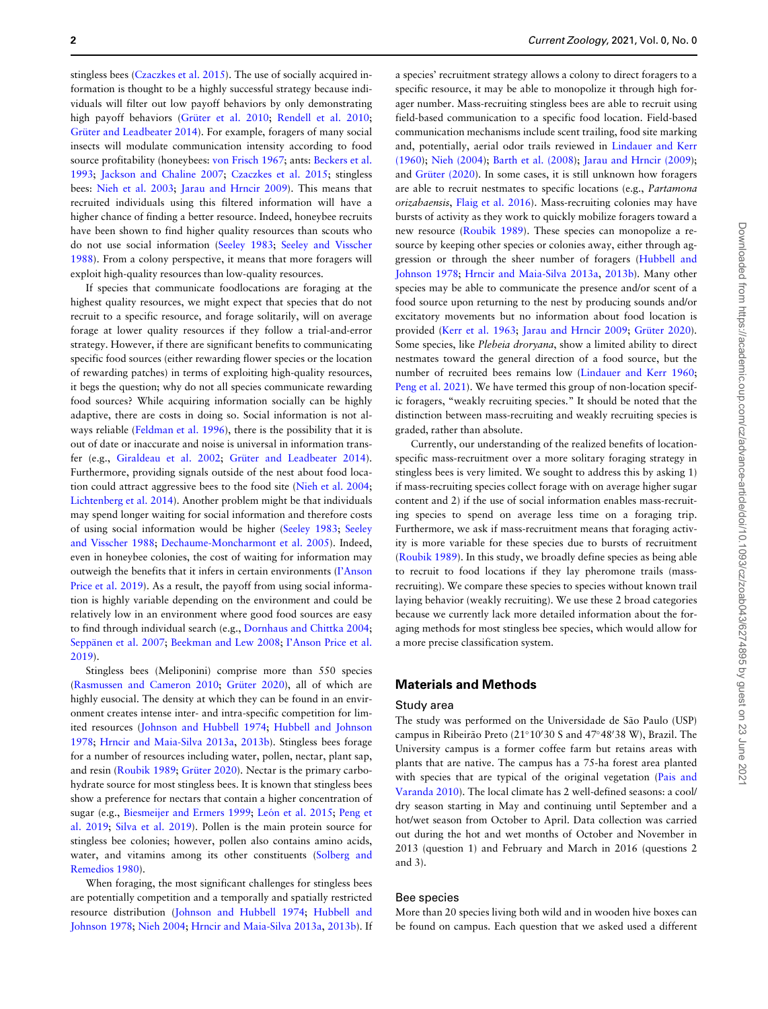stingless bees ([Czaczkes et al. 2015\)](#page-7-0). The use of socially acquired information is thought to be a highly successful strategy because individuals will filter out low payoff behaviors by only demonstrating high payoff behaviors (Grüter et al. 2010; [Rendell et al. 2010](#page-8-0); Grüter and Leadbeater 2014). For example, foragers of many social insects will modulate communication intensity according to food source profitability (honeybees: [von Frisch 1967](#page-9-0); ants: [Beckers et al.](#page-7-0) [1993](#page-7-0); [Jackson and Chaline 2007](#page-8-0); [Czaczkes et al. 2015](#page-7-0); stingless bees: [Nieh et al. 2003;](#page-8-0) [Jarau and Hrncir 2009\)](#page-8-0). This means that recruited individuals using this filtered information will have a higher chance of finding a better resource. Indeed, honeybee recruits have been shown to find higher quality resources than scouts who do not use social information [\(Seeley 1983;](#page-8-0) [Seeley and Visscher](#page-8-0) [1988](#page-8-0)). From a colony perspective, it means that more foragers will exploit high-quality resources than low-quality resources.

If species that communicate foodlocations are foraging at the highest quality resources, we might expect that species that do not recruit to a specific resource, and forage solitarily, will on average forage at lower quality resources if they follow a trial-and-error strategy. However, if there are significant benefits to communicating specific food sources (either rewarding flower species or the location of rewarding patches) in terms of exploiting high-quality resources, it begs the question; why do not all species communicate rewarding food sources? While acquiring information socially can be highly adaptive, there are costs in doing so. Social information is not always reliable ([Feldman et al. 1996](#page-7-0)), there is the possibility that it is out of date or inaccurate and noise is universal in information trans-fer (e.g., [Giraldeau et al. 2002;](#page-7-0) Grüter and Leadbeater 2014). Furthermore, providing signals outside of the nest about food location could attract aggressive bees to the food site ([Nieh et al. 2004](#page-8-0); [Lichtenberg et al. 2014](#page-8-0)). Another problem might be that individuals may spend longer waiting for social information and therefore costs of using social information would be higher ([Seeley 1983;](#page-8-0) [Seeley](#page-8-0) [and Visscher 1988;](#page-8-0) [Dechaume-Moncharmont et al. 2005](#page-7-0)). Indeed, even in honeybee colonies, the cost of waiting for information may outweigh the benefits that it infers in certain environments ([I'Anson](#page-8-0) [Price et al. 2019\)](#page-8-0). As a result, the payoff from using social information is highly variable depending on the environment and could be relatively low in an environment where good food sources are easy to find through individual search (e.g., [Dornhaus and Chittka 2004](#page-7-0); Seppänen et al. 2007; [Beekman and Lew 2008](#page-7-0); l'Anson Price et al. [2019](#page-8-0)).

Stingless bees (Meliponini) comprise more than 550 species [\(Rasmussen and Cameron 2010;](#page-8-0) Grüter 2020), all of which are highly eusocial. The density at which they can be found in an environment creates intense inter- and intra-specific competition for limited resources [\(Johnson and Hubbell 1974;](#page-8-0) [Hubbell and Johnson](#page-8-0) [1978](#page-8-0); [Hrncir and Maia-Silva 2013a,](#page-8-0) [2013b\)](#page-8-0). Stingless bees forage for a number of resources including water, pollen, nectar, plant sap, and resin ([Roubik 1989](#page-8-0); Grüter 2020). Nectar is the primary carbohydrate source for most stingless bees. It is known that stingless bees show a preference for nectars that contain a higher concentration of sugar (e.g., [Biesmeijer and Ermers 1999;](#page-7-0) León et al. 2015; [Peng et](#page-8-0) [al. 2019](#page-8-0); [Silva et al. 2019\)](#page-8-0). Pollen is the main protein source for stingless bee colonies; however, pollen also contains amino acids, water, and vitamins among its other constituents [\(Solberg and](#page-8-0) [Remedios 1980\)](#page-8-0).

When foraging, the most significant challenges for stingless bees are potentially competition and a temporally and spatially restricted resource distribution ([Johnson and Hubbell 1974](#page-8-0); [Hubbell and](#page-8-0) [Johnson 1978;](#page-8-0) [Nieh 2004;](#page-8-0) [Hrncir and Maia-Silva 2013a,](#page-8-0) [2013b](#page-8-0)). If

a species' recruitment strategy allows a colony to direct foragers to a specific resource, it may be able to monopolize it through high forager number. Mass-recruiting stingless bees are able to recruit using field-based communication to a specific food location. Field-based communication mechanisms include scent trailing, food site marking and, potentially, aerial odor trails reviewed in [Lindauer and Kerr](#page-8-0) [\(1960\)](#page-8-0); [Nieh \(2004\)](#page-8-0); [Barth et al. \(2008\)](#page-7-0); [Jarau and Hrncir \(2009\)](#page-8-0); and Grüter (2020). In some cases, it is still unknown how foragers are able to recruit nestmates to specific locations (e.g., Partamona orizabaensis, [Flaig et al. 2016\)](#page-7-0). Mass-recruiting colonies may have bursts of activity as they work to quickly mobilize foragers toward a new resource [\(Roubik 1989\)](#page-8-0). These species can monopolize a resource by keeping other species or colonies away, either through aggression or through the sheer number of foragers ([Hubbell and](#page-8-0) [Johnson 1978](#page-8-0); [Hrncir and Maia-Silva 2013a](#page-8-0), [2013b](#page-8-0)). Many other species may be able to communicate the presence and/or scent of a food source upon returning to the nest by producing sounds and/or excitatory movements but no information about food location is provided ([Kerr et al. 1963](#page-8-0); [Jarau and Hrncir 2009;](#page-8-0) Grüter 2020). Some species, like Plebeia droryana, show a limited ability to direct nestmates toward the general direction of a food source, but the number of recruited bees remains low [\(Lindauer and Kerr 1960](#page-8-0); [Peng et al. 2021\)](#page-8-0). We have termed this group of non-location specific foragers, "weakly recruiting species." It should be noted that the distinction between mass-recruiting and weakly recruiting species is graded, rather than absolute.

Currently, our understanding of the realized benefits of locationspecific mass-recruitment over a more solitary foraging strategy in stingless bees is very limited. We sought to address this by asking 1) if mass-recruiting species collect forage with on average higher sugar content and 2) if the use of social information enables mass-recruiting species to spend on average less time on a foraging trip. Furthermore, we ask if mass-recruitment means that foraging activity is more variable for these species due to bursts of recruitment [\(Roubik 1989\)](#page-8-0). In this study, we broadly define species as being able to recruit to food locations if they lay pheromone trails (massrecruiting). We compare these species to species without known trail laying behavior (weakly recruiting). We use these 2 broad categories because we currently lack more detailed information about the foraging methods for most stingless bee species, which would allow for a more precise classification system.

# Materials and Methods

#### Study area

The study was performed on the Universidade de São Paulo (USP) campus in Ribeirão Preto (21°10'30 S and 47°48'38 W), Brazil. The University campus is a former coffee farm but retains areas with plants that are native. The campus has a 75-ha forest area planted with species that are typical of the original vegetation [\(Pais and](#page-8-0) [Varanda 2010\)](#page-8-0). The local climate has 2 well-defined seasons: a cool/ dry season starting in May and continuing until September and a hot/wet season from October to April. Data collection was carried out during the hot and wet months of October and November in 2013 (question 1) and February and March in 2016 (questions 2 and 3).

# Bee species

More than 20 species living both wild and in wooden hive boxes can be found on campus. Each question that we asked used a different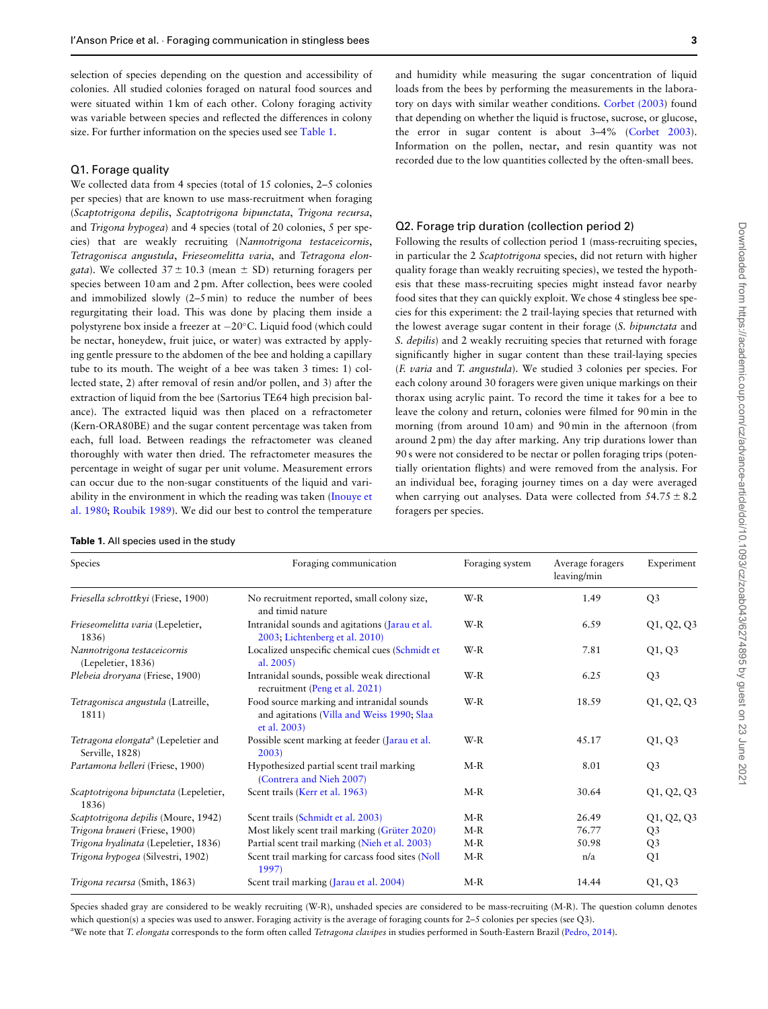<span id="page-2-0"></span>selection of species depending on the question and accessibility of colonies. All studied colonies foraged on natural food sources and were situated within 1 km of each other. Colony foraging activity was variable between species and reflected the differences in colony size. For further information on the species used see Table 1.

#### Q1. Forage quality

We collected data from 4 species (total of 15 colonies, 2–5 colonies per species) that are known to use mass-recruitment when foraging (Scaptotrigona depilis, Scaptotrigona bipunctata, Trigona recursa, and Trigona hypogea) and 4 species (total of 20 colonies, 5 per species) that are weakly recruiting (Nannotrigona testaceicornis, Tetragonisca angustula, Frieseomelitta varia, and Tetragona elon*gata*). We collected  $37 \pm 10.3$  (mean  $\pm$  SD) returning foragers per species between 10 am and 2 pm. After collection, bees were cooled and immobilized slowly (2–5 min) to reduce the number of bees regurgitating their load. This was done by placing them inside a polystyrene box inside a freezer at -20°C. Liquid food (which could be nectar, honeydew, fruit juice, or water) was extracted by applying gentle pressure to the abdomen of the bee and holding a capillary tube to its mouth. The weight of a bee was taken 3 times: 1) collected state, 2) after removal of resin and/or pollen, and 3) after the extraction of liquid from the bee (Sartorius TE64 high precision balance). The extracted liquid was then placed on a refractometer (Kern-ORA80BE) and the sugar content percentage was taken from each, full load. Between readings the refractometer was cleaned thoroughly with water then dried. The refractometer measures the percentage in weight of sugar per unit volume. Measurement errors can occur due to the non-sugar constituents of the liquid and variability in the environment in which the reading was taken ([Inouye et](#page-8-0) [al. 1980;](#page-8-0) [Roubik 1989](#page-8-0)). We did our best to control the temperature

| <b>Table 1.</b> All species used in the study |  |  |  |  |  |  |
|-----------------------------------------------|--|--|--|--|--|--|
|-----------------------------------------------|--|--|--|--|--|--|

and humidity while measuring the sugar concentration of liquid loads from the bees by performing the measurements in the laboratory on days with similar weather conditions. [Corbet \(2003](#page-7-0)) found that depending on whether the liquid is fructose, sucrose, or glucose, the error in sugar content is about 3–4% ([Corbet 2003\)](#page-7-0). Information on the pollen, nectar, and resin quantity was not recorded due to the low quantities collected by the often-small bees.

# Q2. Forage trip duration (collection period 2)

Following the results of collection period 1 (mass-recruiting species, in particular the 2 Scaptotrigona species, did not return with higher quality forage than weakly recruiting species), we tested the hypothesis that these mass-recruiting species might instead favor nearby food sites that they can quickly exploit. We chose 4 stingless bee species for this experiment: the 2 trail-laying species that returned with the lowest average sugar content in their forage (S. bipunctata and S. depilis) and 2 weakly recruiting species that returned with forage significantly higher in sugar content than these trail-laying species (F. varia and T. angustula). We studied 3 colonies per species. For each colony around 30 foragers were given unique markings on their thorax using acrylic paint. To record the time it takes for a bee to leave the colony and return, colonies were filmed for 90 min in the morning (from around 10 am) and 90 min in the afternoon (from around 2 pm) the day after marking. Any trip durations lower than 90 s were not considered to be nectar or pollen foraging trips (potentially orientation flights) and were removed from the analysis. For an individual bee, foraging journey times on a day were averaged when carrying out analyses. Data were collected from  $54.75 \pm 8.2$ foragers per species.

| Species                                                            | Foraging communication                                                                                  | Foraging system | Average foragers<br>leaving/min | Experiment     |
|--------------------------------------------------------------------|---------------------------------------------------------------------------------------------------------|-----------------|---------------------------------|----------------|
| Friesella schrottkyi (Friese, 1900)                                | No recruitment reported, small colony size,<br>and timid nature                                         | $W-R$           | 1.49                            | Q <sub>3</sub> |
| Frieseomelitta varia (Lepeletier,<br>1836)                         | Intranidal sounds and agitations (Jarau et al.<br>2003; Lichtenberg et al. 2010)                        | W-R             | 6.59                            | Q1, Q2, Q3     |
| Nannotrigona testaceicornis<br>(Lepeletier, 1836)                  | Localized unspecific chemical cues (Schmidt et<br>al. $2005$ )                                          | $W-R$           | 7.81                            | Q1, Q3         |
| Plebeia droryana (Friese, 1900)                                    | Intranidal sounds, possible weak directional<br>recruitment (Peng et al. 2021)                          | W-R             | 6.25                            | Q <sub>3</sub> |
| Tetragonisca angustula (Latreille,<br>1811)                        | Food source marking and intranidal sounds<br>and agitations (Villa and Weiss 1990; Slaa<br>et al. 2003) | W-R             | 18.59                           | Q1, Q2, Q3     |
| Tetragona elongata <sup>a</sup> (Lepeletier and<br>Serville, 1828) | Possible scent marking at feeder (Jarau et al.<br>2003                                                  | $W-R$           | 45.17                           | Q1, Q3         |
| Partamona helleri (Friese, 1900)                                   | Hypothesized partial scent trail marking<br>(Contrera and Nieh 2007)                                    | $M-R$           | 8.01                            | Q <sub>3</sub> |
| Scaptotrigona bipunctata (Lepeletier,<br>1836)                     | Scent trails (Kerr et al. 1963)                                                                         | $M-R$           | 30.64                           | Q1, Q2, Q3     |
| Scaptotrigona depilis (Moure, 1942)                                | Scent trails (Schmidt et al. 2003)                                                                      | $M-R$           | 26.49                           | Q1, Q2, Q3     |
| Trigona braueri (Friese, 1900)                                     | Most likely scent trail marking (Grüter 2020)                                                           | $M-R$           | 76.77                           | Q <sub>3</sub> |
| Trigona hyalinata (Lepeletier, 1836)                               | Partial scent trail marking (Nieh et al. 2003)                                                          | $M-R$           | 50.98                           | Q <sub>3</sub> |
| Trigona hypogea (Silvestri, 1902)                                  | Scent trail marking for carcass food sites (Noll<br>1997                                                | $M-R$           | n/a                             | Q1             |
| Trigona recursa (Smith, 1863)                                      | Scent trail marking (Jarau et al. 2004)                                                                 | $M-R$           | 14.44                           | Q1, Q3         |

Species shaded gray are considered to be weakly recruiting (W-R), unshaded species are considered to be mass-recruiting (M-R). The question column denotes which question(s) a species was used to answer. Foraging activity is the average of foraging counts for 2–5 colonies per species (see Q3). <sup>a</sup>We note that T. elongata corresponds to the form often called Tetragona clavipes in studies performed in South-Eastern Brazil ([Pedro, 2014\)](#page-8-0).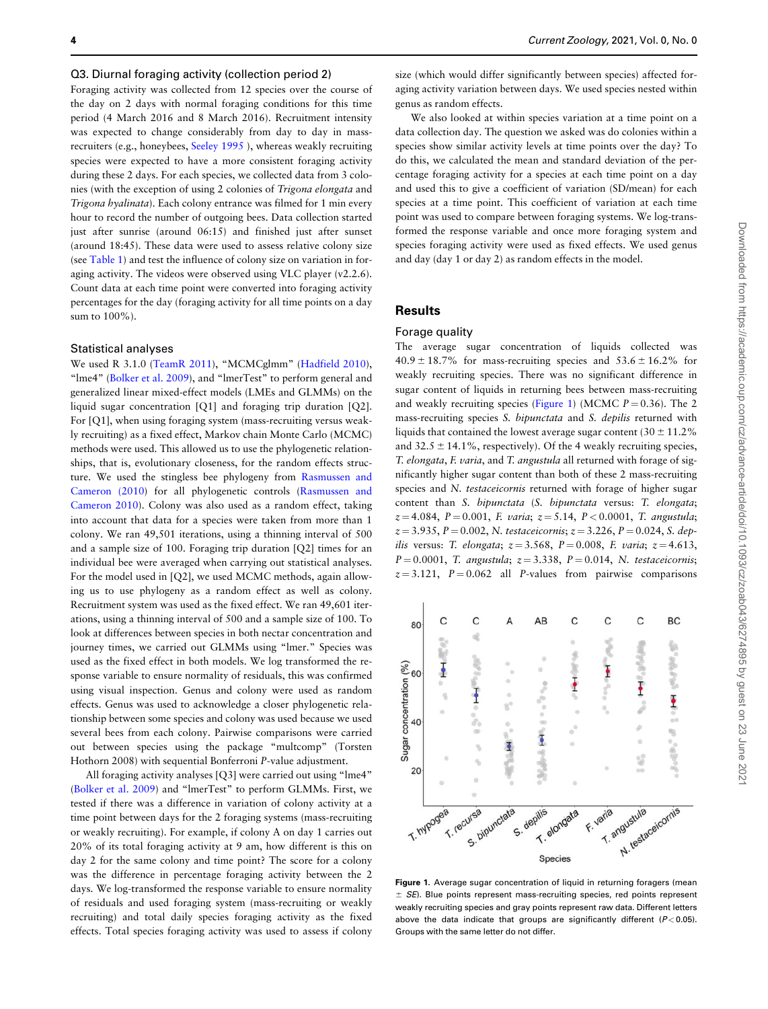#### <span id="page-3-0"></span>Q3. Diurnal foraging activity (collection period 2)

Foraging activity was collected from 12 species over the course of the day on 2 days with normal foraging conditions for this time period (4 March 2016 and 8 March 2016). Recruitment intensity was expected to change considerably from day to day in massrecruiters (e.g., honeybees, Seeley 1995 ), whereas weakly recruiting species were expected to have a more consistent foraging activity during these 2 days. For each species, we collected data from 3 colonies (with the exception of using 2 colonies of Trigona elongata and Trigona hyalinata). Each colony entrance was filmed for 1 min every hour to record the number of outgoing bees. Data collection started just after sunrise (around 06:15) and finished just after sunset (around 18:45). These data were used to assess relative colony size (see [Table 1](#page-2-0)) and test the influence of colony size on variation in foraging activity. The videos were observed using VLC player (v2.2.6). Count data at each time point were converted into foraging activity percentages for the day (foraging activity for all time points on a day sum to 100%).

#### Statistical analyses

We used R 3.1.0 ([TeamR 2011](#page-8-0)), "MCMCglmm" [\(Hadfield 2010\)](#page-8-0), "lme4" [\(Bolker et al. 2009](#page-7-0)), and "lmerTest" to perform general and generalized linear mixed-effect models (LMEs and GLMMs) on the liquid sugar concentration [Q1] and foraging trip duration [Q2]. For [Q1], when using foraging system (mass-recruiting versus weakly recruiting) as a fixed effect, Markov chain Monte Carlo (MCMC) methods were used. This allowed us to use the phylogenetic relationships, that is, evolutionary closeness, for the random effects structure. We used the stingless bee phylogeny from [Rasmussen and](#page-8-0) [Cameron \(2010\)](#page-8-0) for all phylogenetic controls ([Rasmussen and](#page-8-0) [Cameron 2010](#page-8-0)). Colony was also used as a random effect, taking into account that data for a species were taken from more than 1 colony. We ran 49,501 iterations, using a thinning interval of 500 and a sample size of 100. Foraging trip duration [Q2] times for an individual bee were averaged when carrying out statistical analyses. For the model used in [Q2], we used MCMC methods, again allowing us to use phylogeny as a random effect as well as colony. Recruitment system was used as the fixed effect. We ran 49,601 iterations, using a thinning interval of 500 and a sample size of 100. To look at differences between species in both nectar concentration and journey times, we carried out GLMMs using "lmer." Species was used as the fixed effect in both models. We log transformed the response variable to ensure normality of residuals, this was confirmed using visual inspection. Genus and colony were used as random effects. Genus was used to acknowledge a closer phylogenetic relationship between some species and colony was used because we used several bees from each colony. Pairwise comparisons were carried out between species using the package "multcomp" (Torsten Hothorn 2008) with sequential Bonferroni P-value adjustment.

All foraging activity analyses [Q3] were carried out using "lme4" [\(Bolker et al. 2009](#page-7-0)) and "lmerTest" to perform GLMMs. First, we tested if there was a difference in variation of colony activity at a time point between days for the 2 foraging systems (mass-recruiting or weakly recruiting). For example, if colony A on day 1 carries out 20% of its total foraging activity at 9 am, how different is this on day 2 for the same colony and time point? The score for a colony was the difference in percentage foraging activity between the 2 days. We log-transformed the response variable to ensure normality of residuals and used foraging system (mass-recruiting or weakly recruiting) and total daily species foraging activity as the fixed effects. Total species foraging activity was used to assess if colony

size (which would differ significantly between species) affected foraging activity variation between days. We used species nested within genus as random effects.

We also looked at within species variation at a time point on a data collection day. The question we asked was do colonies within a species show similar activity levels at time points over the day? To do this, we calculated the mean and standard deviation of the percentage foraging activity for a species at each time point on a day and used this to give a coefficient of variation (SD/mean) for each species at a time point. This coefficient of variation at each time point was used to compare between foraging systems. We log-transformed the response variable and once more foraging system and species foraging activity were used as fixed effects. We used genus and day (day 1 or day 2) as random effects in the model.

# **Results**

#### Forage quality

The average sugar concentration of liquids collected was  $40.9 \pm 18.7\%$  for mass-recruiting species and  $53.6 \pm 16.2\%$  for weakly recruiting species. There was no significant difference in sugar content of liquids in returning bees between mass-recruiting and weakly recruiting species (Figure 1) (MCMC  $P = 0.36$ ). The 2. mass-recruiting species S. bipunctata and S. depilis returned with liquids that contained the lowest average sugar content (30  $\pm$  11.2%) and  $32.5 \pm 14.1\%$ , respectively). Of the 4 weakly recruiting species, T. elongata, F. varia, and T. angustula all returned with forage of significantly higher sugar content than both of these 2 mass-recruiting species and N. testaceicornis returned with forage of higher sugar content than S. bipunctata (S. bipunctata versus: T. elongata;  $z = 4.084$ ,  $P = 0.001$ , F. varia;  $z = 5.14$ ,  $P < 0.0001$ , T. angustula;  $z = 3.935, P = 0.002, N. test aceicornis; z = 3.226, P = 0.024, S. dep$ ilis versus: T. elongata;  $z = 3.568$ ,  $P = 0.008$ , F. varia;  $z = 4.613$ ,  $P = 0.0001$ , T. angustula;  $z = 3.338$ ,  $P = 0.014$ , N. testaceicornis;  $z = 3.121$ ,  $P = 0.062$  all P-values from pairwise comparisons



Figure 1. Average sugar concentration of liquid in returning foragers (mean  $\pm$  SE). Blue points represent mass-recruiting species, red points represent weakly recruiting species and gray points represent raw data. Different letters above the data indicate that groups are significantly different  $(P< 0.05)$ . Groups with the same letter do not differ.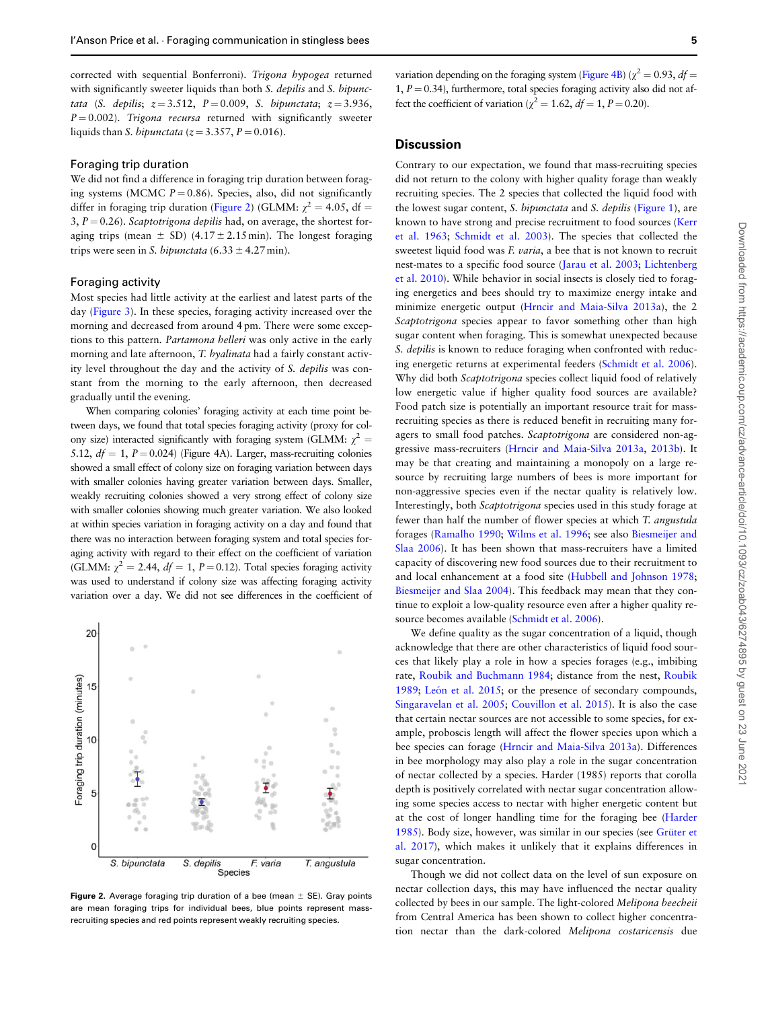<span id="page-4-0"></span>corrected with sequential Bonferroni). Trigona hypogea returned with significantly sweeter liquids than both S. depilis and S. bipunctata (S. depilis;  $z = 3.512$ ,  $P = 0.009$ , S. bipunctata;  $z = 3.936$ ,  $P = 0.002$ ). Trigona recursa returned with significantly sweeter liquids than *S. bipunctata* ( $z = 3.357$ ,  $P = 0.016$ ).

#### Foraging trip duration

We did not find a difference in foraging trip duration between foraging systems (MCMC  $P = 0.86$ ). Species, also, did not significantly differ in foraging trip duration ([Figure 2\)](#page-3-0) (GLMM:  $\chi^2 = 4.05$ , df = 3,  $P = 0.26$ ). Scaptotrigona depilis had, on average, the shortest foraging trips (mean  $\pm$  SD) (4.17  $\pm$  2.15 min). The longest foraging trips were seen in S. bipunctata (6.33  $\pm$  4.27 min).

#### Foraging activity

Most species had little activity at the earliest and latest parts of the day (Figure 3). In these species, foraging activity increased over the morning and decreased from around 4 pm. There were some exceptions to this pattern. Partamona helleri was only active in the early morning and late afternoon, T. hyalinata had a fairly constant activity level throughout the day and the activity of S. depilis was constant from the morning to the early afternoon, then decreased gradually until the evening.

When comparing colonies' foraging activity at each time point between days, we found that total species foraging activity (proxy for colony size) interacted significantly with foraging system (GLMM:  $\chi^2$  = 5.12,  $df = 1$ ,  $P = 0.024$ ) (Figure 4A). Larger, mass-recruiting colonies showed a small effect of colony size on foraging variation between days with smaller colonies having greater variation between days. Smaller, weakly recruiting colonies showed a very strong effect of colony size with smaller colonies showing much greater variation. We also looked at within species variation in foraging activity on a day and found that there was no interaction between foraging system and total species foraging activity with regard to their effect on the coefficient of variation (GLMM:  $\chi^2 = 2.44$ ,  $df = 1$ ,  $P = 0.12$ ). Total species foraging activity was used to understand if colony size was affecting foraging activity variation over a day. We did not see differences in the coefficient of



Figure 2. Average foraging trip duration of a bee (mean  $\pm$  SE). Gray points are mean foraging trips for individual bees, blue points represent massrecruiting species and red points represent weakly recruiting species.

variation depending on the foraging system [\(Figure 4B\)](#page-5-0) ( $\chi^2 = 0.93$ ,  $df =$ 1,  $P = 0.34$ ), furthermore, total species foraging activity also did not affect the coefficient of variation ( $\chi^2 = 1.62$ ,  $df = 1$ ,  $P = 0.20$ ).

### **Discussion**

Contrary to our expectation, we found that mass-recruiting species did not return to the colony with higher quality forage than weakly recruiting species. The 2 species that collected the liquid food with the lowest sugar content, S. bipunctata and S. depilis (Figure 1), are known to have strong and precise recruitment to food sources [\(Kerr](#page-8-0) [et al. 1963;](#page-8-0) [Schmidt et al. 2003\)](#page-8-0). The species that collected the sweetest liquid food was F. varia, a bee that is not known to recruit nest-mates to a specific food source [\(Jarau et al. 2003;](#page-8-0) [Lichtenberg](#page-8-0) [et al. 2010\)](#page-8-0). While behavior in social insects is closely tied to foraging energetics and bees should try to maximize energy intake and minimize energetic output [\(Hrncir and Maia-Silva 2013a\)](#page-8-0), the 2 Scaptotrigona species appear to favor something other than high sugar content when foraging. This is somewhat unexpected because S. depilis is known to reduce foraging when confronted with reducing energetic returns at experimental feeders [\(Schmidt et al. 2006\)](#page-8-0). Why did both Scaptotrigona species collect liquid food of relatively low energetic value if higher quality food sources are available? Food patch size is potentially an important resource trait for massrecruiting species as there is reduced benefit in recruiting many foragers to small food patches. Scaptotrigona are considered non-aggressive mass-recruiters [\(Hrncir and Maia-Silva 2013a](#page-8-0), [2013b](#page-8-0)). It may be that creating and maintaining a monopoly on a large resource by recruiting large numbers of bees is more important for non-aggressive species even if the nectar quality is relatively low. Interestingly, both Scaptotrigona species used in this study forage at fewer than half the number of flower species at which T. angustula forages ([Ramalho 1990](#page-8-0); [Wilms et al. 1996;](#page-9-0) see also [Biesmeijer and](#page-7-0) [Slaa 2006\)](#page-7-0). It has been shown that mass-recruiters have a limited capacity of discovering new food sources due to their recruitment to and local enhancement at a food site ([Hubbell and Johnson 1978](#page-8-0); [Biesmeijer and Slaa 2004\)](#page-7-0). This feedback may mean that they continue to exploit a low-quality resource even after a higher quality resource becomes available [\(Schmidt et al. 2006\)](#page-8-0).

We define quality as the sugar concentration of a liquid, though acknowledge that there are other characteristics of liquid food sources that likely play a role in how a species forages (e.g., imbibing rate, [Roubik and Buchmann 1984;](#page-8-0) distance from the nest, [Roubik](#page-8-0) [1989](#page-8-0); León et al.  $2015$ ; or the presence of secondary compounds, [Singaravelan et al. 2005;](#page-8-0) [Couvillon et al. 2015\)](#page-7-0). It is also the case that certain nectar sources are not accessible to some species, for example, proboscis length will affect the flower species upon which a bee species can forage [\(Hrncir and Maia-Silva 2013a](#page-8-0)). Differences in bee morphology may also play a role in the sugar concentration of nectar collected by a species. Harder (1985) reports that corolla depth is positively correlated with nectar sugar concentration allowing some species access to nectar with higher energetic content but at the cost of longer handling time for the foraging bee ([Harder](#page-8-0) [1985](#page-8-0)). Body size, however, was similar in our species (see Grüter et [al. 2017](#page-8-0)), which makes it unlikely that it explains differences in sugar concentration.

Though we did not collect data on the level of sun exposure on nectar collection days, this may have influenced the nectar quality collected by bees in our sample. The light-colored Melipona beecheii from Central America has been shown to collect higher concentration nectar than the dark-colored Melipona costaricensis due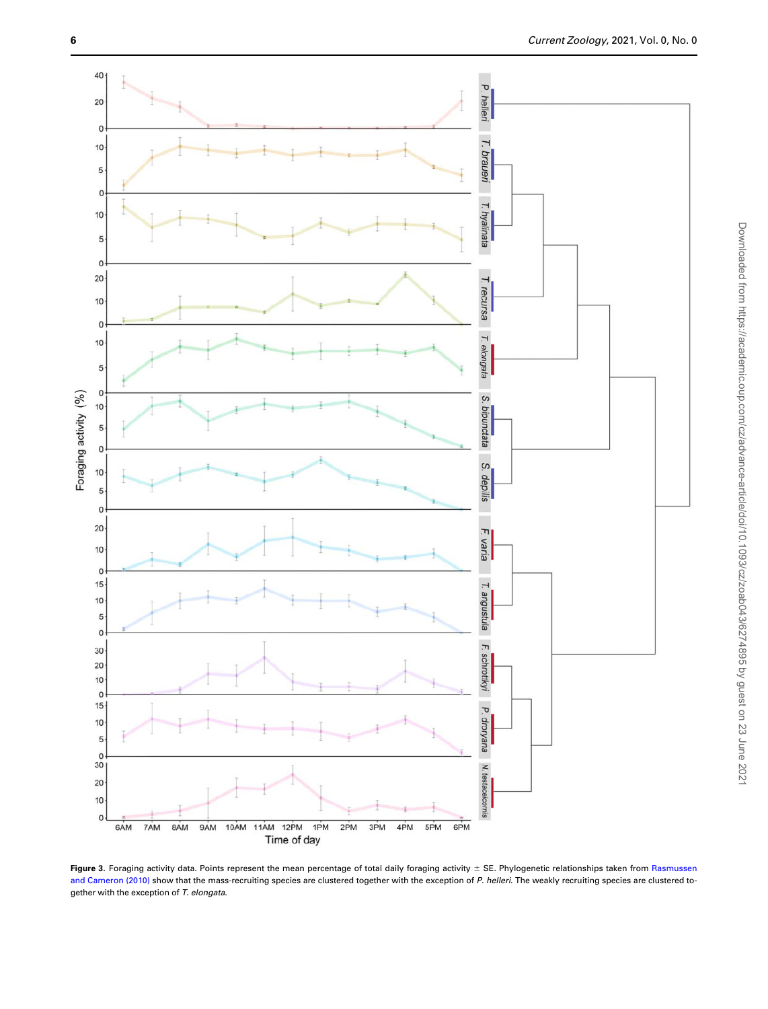<span id="page-5-0"></span>

Figure 3. Foraging activity data. Points represent the mean percentage of total daily foraging activity  $\pm$  SE. Phylogenetic relationships taken from [Rasmussen](#page-8-0) [and Cameron \(2010\)](#page-8-0) show that the mass-recruiting species are clustered together with the exception of P. helleri. The weakly recruiting species are clustered together with the exception of T. elongata.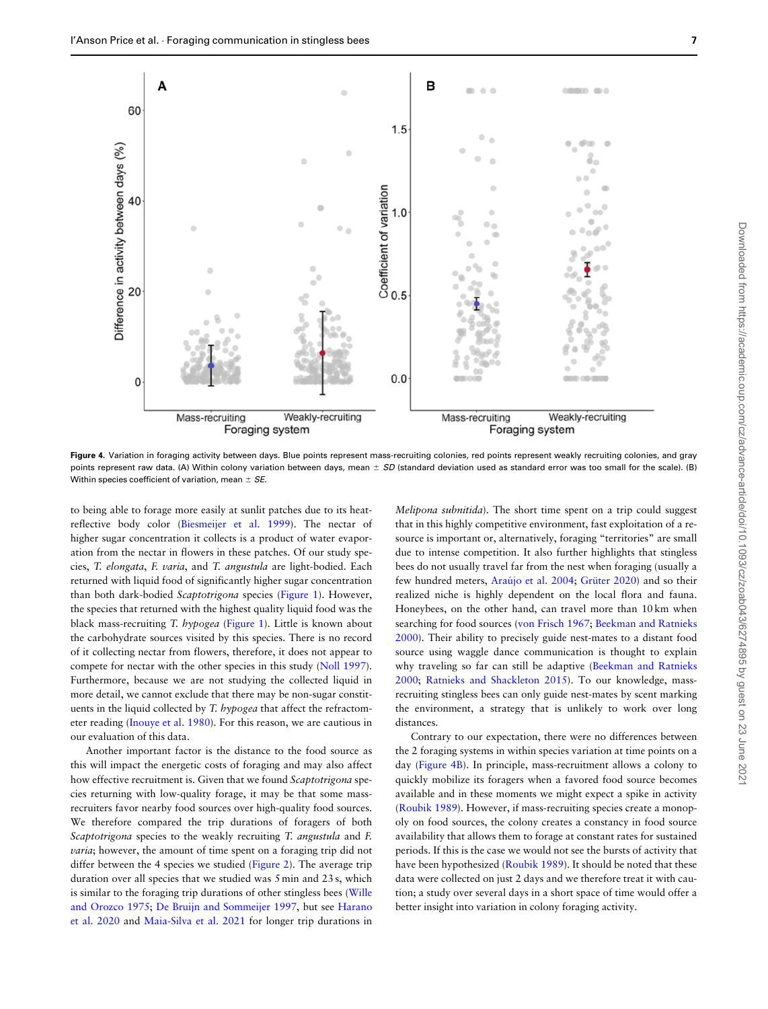

Figure 4. Variation in foraging activity between days. Blue points represent mass-recruiting colonies, red points represent weakly recruiting colonies, and gray points represent raw data. (A) Within colony variation between days, mean  $\pm SD$  (standard deviation used as standard error was too small for the scale). (B) Within species coefficient of variation, mean  $\pm$  SE.

to being able to forage more easily at sunlit patches due to its heatreflective body color [\(Biesmeijer et al. 1999](#page-7-0)). The nectar of higher sugar concentration it collects is a product of water evaporation from the nectar in flowers in these patches. Of our study species, T. elongata, F. varia, and T. angustula are light-bodied. Each returned with liquid food of significantly higher sugar concentration than both dark-bodied Scaptotrigona species (Figure 1). However, the species that returned with the highest quality liquid food was the black mass-recruiting T. hypogea (Figure 1). Little is known about the carbohydrate sources visited by this species. There is no record of it collecting nectar from flowers, therefore, it does not appear to compete for nectar with the other species in this study [\(Noll 1997\)](#page-8-0). Furthermore, because we are not studying the collected liquid in more detail, we cannot exclude that there may be non-sugar constituents in the liquid collected by T. hypogea that affect the refractometer reading [\(Inouye et al. 1980\)](#page-8-0). For this reason, we are cautious in our evaluation of this data.

Another important factor is the distance to the food source as this will impact the energetic costs of foraging and may also affect how effective recruitment is. Given that we found Scaptotrigona species returning with low-quality forage, it may be that some massrecruiters favor nearby food sources over high-quality food sources. We therefore compared the trip durations of foragers of both Scaptotrigona species to the weakly recruiting T. angustula and F. *varia*; however, the amount of time spent on a foraging trip did not differ between the 4 species we studied [\(Figure 2](#page-3-0)). The average trip duration over all species that we studied was 5 min and 23 s, which is similar to the foraging trip durations of other stingless bees [\(Wille](#page-9-0) [and Orozco 1975](#page-9-0); [De Bruijn and Sommeijer 1997](#page-7-0), but see [Harano](#page-8-0) [et al. 2020](#page-8-0) and [Maia-Silva et al. 2021](#page-8-0) for longer trip durations in

Melipona subnitida). The short time spent on a trip could suggest that in this highly competitive environment, fast exploitation of a resource is important or, alternatively, foraging "territories" are small due to intense competition. It also further highlights that stingless bees do not usually travel far from the nest when foraging (usually a few hundred meters, Araújo et al. 2004; Grüter 2020) and so their realized niche is highly dependent on the local flora and fauna. Honeybees, on the other hand, can travel more than 10 km when searching for food sources ([von Frisch 1967](#page-9-0); [Beekman and Ratnieks](#page-7-0) [2000](#page-7-0)). Their ability to precisely guide nest-mates to a distant food source using waggle dance communication is thought to explain why traveling so far can still be adaptive ([Beekman and Ratnieks](#page-7-0) [2000](#page-7-0); [Ratnieks and Shackleton 2015\)](#page-8-0). To our knowledge, massrecruiting stingless bees can only guide nest-mates by scent marking the environment, a strategy that is unlikely to work over long distances.

Contrary to our expectation, there were no differences between the 2 foraging systems in within species variation at time points on a day ([Figure 4B\)](#page-5-0). In principle, mass-recruitment allows a colony to quickly mobilize its foragers when a favored food source becomes available and in these moments we might expect a spike in activity [\(Roubik 1989\)](#page-8-0). However, if mass-recruiting species create a monopoly on food sources, the colony creates a constancy in food source availability that allows them to forage at constant rates for sustained periods. If this is the case we would not see the bursts of activity that have been hypothesized ([Roubik 1989](#page-8-0)). It should be noted that these data were collected on just 2 days and we therefore treat it with caution; a study over several days in a short space of time would offer a better insight into variation in colony foraging activity.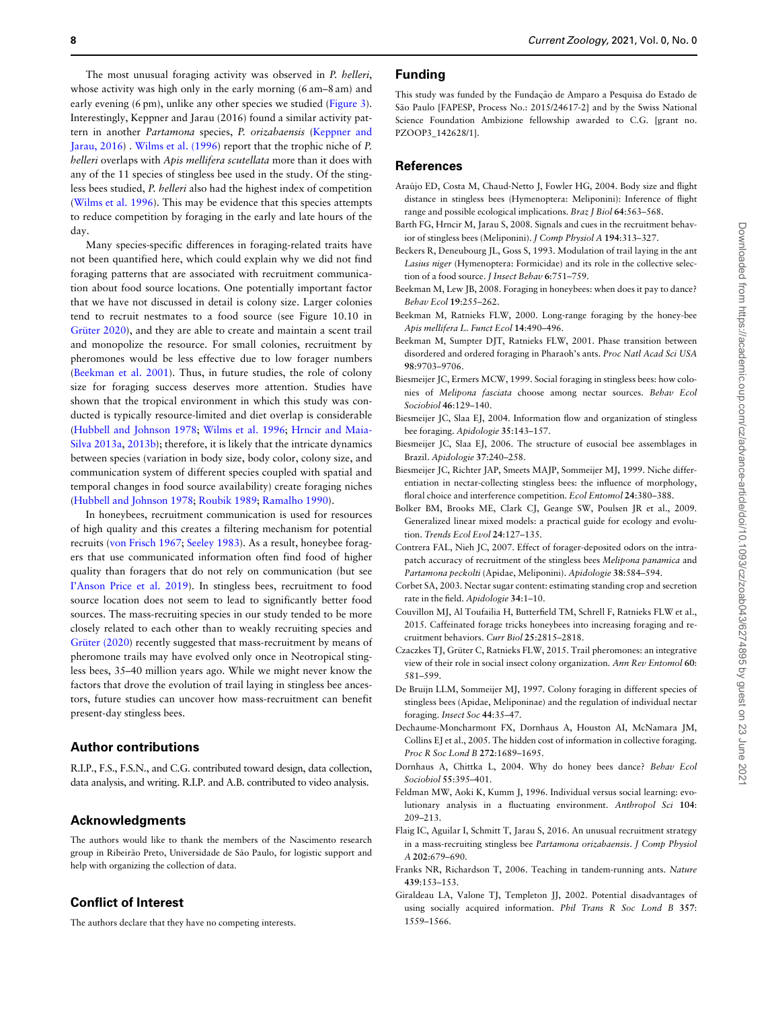<span id="page-7-0"></span>The most unusual foraging activity was observed in P. helleri, whose activity was high only in the early morning (6 am–8 am) and early evening (6 pm), unlike any other species we studied [\(Figure 3\)](#page-4-0). Interestingly, Keppner and Jarau (2016) found a similar activity pattern in another Partamona species, P. orizabaensis (Keppner and Jarau, 2016) . [Wilms et al. \(1996\)](#page-9-0) report that the trophic niche of P. helleri overlaps with Apis mellifera scutellata more than it does with any of the 11 species of stingless bee used in the study. Of the stingless bees studied, P. helleri also had the highest index of competition [\(Wilms et al. 1996\)](#page-9-0). This may be evidence that this species attempts to reduce competition by foraging in the early and late hours of the day.

Many species-specific differences in foraging-related traits have not been quantified here, which could explain why we did not find foraging patterns that are associated with recruitment communication about food source locations. One potentially important factor that we have not discussed in detail is colony size. Larger colonies tend to recruit nestmates to a food source (see Figure 10.10 in Grüter 2020), and they are able to create and maintain a scent trail and monopolize the resource. For small colonies, recruitment by pheromones would be less effective due to low forager numbers (Beekman et al. 2001). Thus, in future studies, the role of colony size for foraging success deserves more attention. Studies have shown that the tropical environment in which this study was conducted is typically resource-limited and diet overlap is considerable [\(Hubbell and Johnson 1978;](#page-8-0) [Wilms et al. 1996;](#page-9-0) [Hrncir and Maia-](#page-8-0)[Silva 2013a,](#page-8-0) [2013b\)](#page-8-0); therefore, it is likely that the intricate dynamics between species (variation in body size, body color, colony size, and communication system of different species coupled with spatial and temporal changes in food source availability) create foraging niches [\(Hubbell and Johnson 1978;](#page-8-0) [Roubik 1989](#page-8-0); [Ramalho 1990](#page-8-0)).

In honeybees, recruitment communication is used for resources of high quality and this creates a filtering mechanism for potential recruits [\(von Frisch 1967;](#page-9-0) [Seeley 1983\)](#page-8-0). As a result, honeybee foragers that use communicated information often find food of higher quality than foragers that do not rely on communication (but see [I'Anson Price et al. 2019\)](#page-8-0). In stingless bees, recruitment to food source location does not seem to lead to significantly better food sources. The mass-recruiting species in our study tended to be more closely related to each other than to weakly recruiting species and Grüter (2020) recently suggested that mass-recruitment by means of pheromone trails may have evolved only once in Neotropical stingless bees, 35–40 million years ago. While we might never know the factors that drove the evolution of trail laying in stingless bee ancestors, future studies can uncover how mass-recruitment can benefit present-day stingless bees.

# Author contributions

R.I.P., F.S., F.S.N., and C.G. contributed toward design, data collection, data analysis, and writing. R.I.P. and A.B. contributed to video analysis.

## Acknowledgments

The authors would like to thank the members of the Nascimento research group in Ribeirão Preto, Universidade de São Paulo, for logistic support and help with organizing the collection of data.

# Conflict of Interest

The authors declare that they have no competing interests.

#### Funding

This study was funded by the Fundação de Amparo a Pesquisa do Estado de São Paulo [FAPESP, Process No.: 2015/24617-2] and by the Swiss National Science Foundation Ambizione fellowship awarded to C.G. [grant no. PZOOP3\_142628/1].

#### References

- Araújo ED, Costa M, Chaud-Netto J, Fowler HG, 2004. Body size and flight distance in stingless bees (Hymenoptera: Meliponini): Inference of flight range and possible ecological implications. Braz J Biol 64:563–568.
- Barth FG, Hrncir M, Jarau S, 2008. Signals and cues in the recruitment behavior of stingless bees (Meliponini). J Comp Physiol A 194:313–327.
- Beckers R, Deneubourg JL, Goss S, 1993. Modulation of trail laying in the ant Lasius niger (Hymenoptera: Formicidae) and its role in the collective selection of a food source. J Insect Behav 6:751–759.
- Beekman M, Lew JB, 2008. Foraging in honeybees: when does it pay to dance? Behav Ecol 19:255–262.
- Beekman M, Ratnieks FLW, 2000. Long-range foraging by the honey-bee Apis mellifera L. Funct Ecol 14:490–496.
- Beekman M, Sumpter DJT, Ratnieks FLW, 2001. Phase transition between disordered and ordered foraging in Pharaoh's ants. Proc Natl Acad Sci USA 98:9703–9706.
- Biesmeijer JC, Ermers MCW, 1999. Social foraging in stingless bees: how colonies of Melipona fasciata choose among nectar sources. Behav Ecol Sociobiol 46:129–140.
- Biesmeijer JC, Slaa EJ, 2004. Information flow and organization of stingless bee foraging. Apidologie 35:143–157.
- Biesmeijer JC, Slaa EJ, 2006. The structure of eusocial bee assemblages in Brazil. Apidologie 37:240–258.
- Biesmeijer JC, Richter JAP, Smeets MAJP, Sommeijer MJ, 1999. Niche differentiation in nectar-collecting stingless bees: the influence of morphology, floral choice and interference competition. Ecol Entomol 24:380-388.
- Bolker BM, Brooks ME, Clark CJ, Geange SW, Poulsen JR et al., 2009. Generalized linear mixed models: a practical guide for ecology and evolution. Trends Ecol Evol 24:127–135.
- Contrera FAL, Nieh JC, 2007. Effect of forager-deposited odors on the intrapatch accuracy of recruitment of the stingless bees Melipona panamica and Partamona peckolti (Apidae, Meliponini). Apidologie 38:584–594.
- Corbet SA, 2003. Nectar sugar content: estimating standing crop and secretion rate in the field. Apidologie 34:1–10.
- Couvillon MJ, Al Toufailia H, Butterfield TM, Schrell F, Ratnieks FLW et al., 2015. Caffeinated forage tricks honeybees into increasing foraging and recruitment behaviors. Curr Biol 25:2815–2818.
- Czaczkes TJ, Grüter C, Ratnieks FLW, 2015. Trail pheromones: an integrative view of their role in social insect colony organization. Ann Rev Entomol 60: 581–599.
- De Bruijn LLM, Sommeijer MJ, 1997. Colony foraging in different species of stingless bees (Apidae, Meliponinae) and the regulation of individual nectar foraging. Insect Soc 44:35–47.
- Dechaume-Moncharmont FX, Dornhaus A, Houston AI, McNamara JM, Collins EJ et al., 2005. The hidden cost of information in collective foraging. Proc R Soc Lond B 272:1689–1695.
- Dornhaus A, Chittka L, 2004. Why do honey bees dance? Behav Ecol Sociobiol 55:395–401.
- Feldman MW, Aoki K, Kumm J, 1996. Individual versus social learning: evolutionary analysis in a fluctuating environment. Anthropol Sci 104: 209–213.
- Flaig IC, Aguilar I, Schmitt T, Jarau S, 2016. An unusual recruitment strategy in a mass-recruiting stingless bee Partamona orizabaensis. J Comp Physiol A 202:679–690.
- Franks NR, Richardson T, 2006. Teaching in tandem-running ants. Nature 439:153–153.
- Giraldeau LA, Valone TJ, Templeton JJ, 2002. Potential disadvantages of using socially acquired information. Phil Trans R Soc Lond B 357: 1559–1566.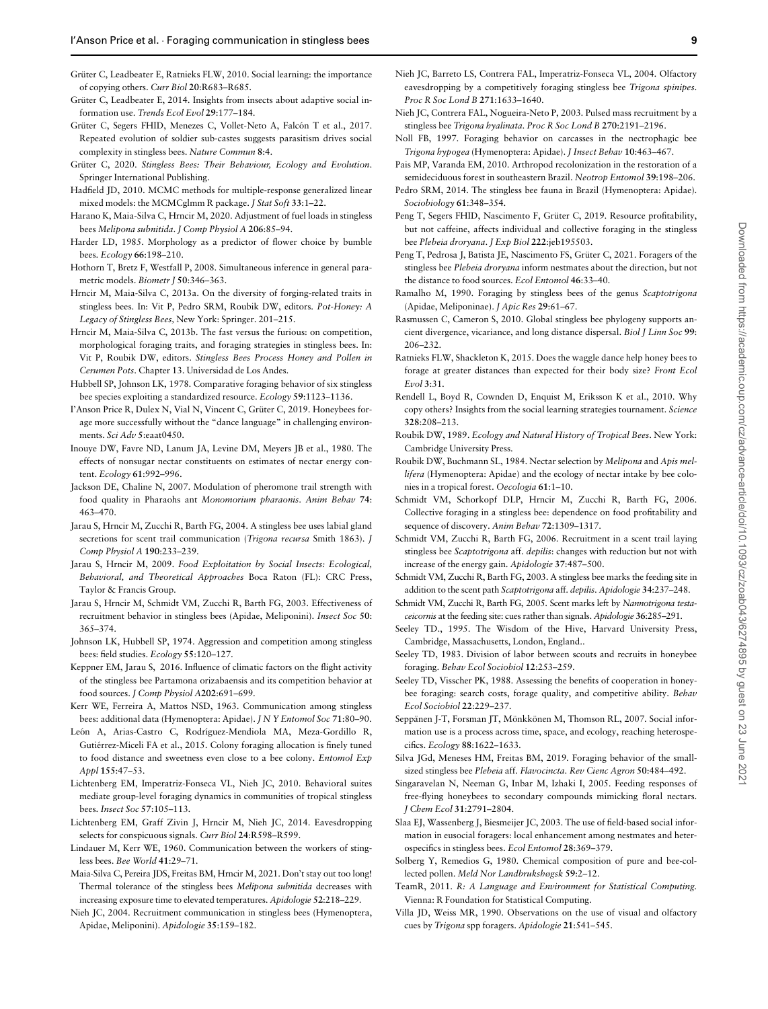- <span id="page-8-0"></span>Grüter C, Leadbeater E, Ratnieks FLW, 2010. Social learning: the importance of copying others. Curr Biol 20:R683–R685.
- Grüter C, Leadbeater E, 2014. Insights from insects about adaptive social information use. Trends Ecol Evol 29:177–184.
- Grüter C, Segers FHID, Menezes C, Vollet-Neto A, Falcón T et al., 2017. Repeated evolution of soldier sub-castes suggests parasitism drives social complexity in stingless bees. Nature Commun 8:4.
- Grüter C, 2020. Stingless Bees: Their Behaviour, Ecology and Evolution. Springer International Publishing.
- Hadfield JD, 2010. MCMC methods for multiple-response generalized linear mixed models: the MCMCglmm R package. J Stat Soft 33:1–22.
- Harano K, Maia-Silva C, Hrncir M, 2020. Adjustment of fuel loads in stingless bees Melipona subnitida. J Comp Physiol A 206:85–94.
- Harder LD, 1985. Morphology as a predictor of flower choice by bumble bees. Ecology 66:198–210.
- Hothorn T, Bretz F, Westfall P, 2008. Simultaneous inference in general parametric models. Biometr J 50:346–363.
- Hrncir M, Maia-Silva C, 2013a. On the diversity of forging-related traits in stingless bees. In: Vit P, Pedro SRM, Roubik DW, editors. Pot-Honey: A Legacy of Stingless Bees, New York: Springer. 201–215.
- Hrncir M, Maia-Silva C, 2013b. The fast versus the furious: on competition, morphological foraging traits, and foraging strategies in stingless bees. In: Vit P, Roubik DW, editors. Stingless Bees Process Honey and Pollen in Cerumen Pots. Chapter 13. Universidad de Los Andes.
- Hubbell SP, Johnson LK, 1978. Comparative foraging behavior of six stingless bee species exploiting a standardized resource. Ecology 59:1123–1136.
- I'Anson Price R, Dulex N, Vial N, Vincent C, Grüter C, 2019. Honeybees forage more successfully without the "dance language" in challenging environments. Sci Adv 5:eaat0450.
- Inouye DW, Favre ND, Lanum JA, Levine DM, Meyers JB et al., 1980. The effects of nonsugar nectar constituents on estimates of nectar energy content. Ecology 61:992–996.
- Jackson DE, Chaline N, 2007. Modulation of pheromone trail strength with food quality in Pharaohs ant Monomorium pharaonis. Anim Behav 74: 463–470.
- Jarau S, Hrncir M, Zucchi R, Barth FG, 2004. A stingless bee uses labial gland secretions for scent trail communication (Trigona recursa Smith 1863). J Comp Physiol A 190:233–239.
- Jarau S, Hrncir M, 2009. Food Exploitation by Social Insects: Ecological, Behavioral, and Theoretical Approaches Boca Raton (FL): CRC Press, Taylor & Francis Group.
- Jarau S, Hrncir M, Schmidt VM, Zucchi R, Barth FG, 2003. Effectiveness of recruitment behavior in stingless bees (Apidae, Meliponini). Insect Soc 50: 365–374.
- Johnson LK, Hubbell SP, 1974. Aggression and competition among stingless bees: field studies. Ecology 55:120–127.
- Keppner EM, Jarau S, 2016. Influence of climatic factors on the flight activity of the stingless bee Partamona orizabaensis and its competition behavior at food sources. J Comp Physiol A202:691–699.
- Kerr WE, Ferreira A, Mattos NSD, 1963. Communication among stingless bees: additional data (Hymenoptera: Apidae). J N Y Entomol Soc 71:80–90.
- León A, Arias-Castro C, Rodríguez-Mendiola MA, Meza-Gordillo R, Gutiérrez-Miceli FA et al., 2015. Colony foraging allocation is finely tuned to food distance and sweetness even close to a bee colony. Entomol Exp Appl 155:47–53.
- Lichtenberg EM, Imperatriz-Fonseca VL, Nieh JC, 2010. Behavioral suites mediate group-level foraging dynamics in communities of tropical stingless bees. Insect Soc 57:105–113.
- Lichtenberg EM, Graff Zivin J, Hrncir M, Nieh JC, 2014. Eavesdropping selects for conspicuous signals. Curr Biol 24:R598–R599.
- Lindauer M, Kerr WE, 1960. Communication between the workers of stingless bees. Bee World 41:29–71.
- Maia-Silva C, Pereira JDS, Freitas BM, Hrncir M, 2021. Don't stay out too long! Thermal tolerance of the stingless bees Melipona subnitida decreases with increasing exposure time to elevated temperatures. Apidologie 52:218–229.
- Nieh JC, 2004. Recruitment communication in stingless bees (Hymenoptera, Apidae, Meliponini). Apidologie 35:159–182.
- Nieh JC, Barreto LS, Contrera FAL, Imperatriz-Fonseca VL, 2004. Olfactory eavesdropping by a competitively foraging stingless bee Trigona spinipes. Proc R Soc Lond B 271:1633–1640.
- Nieh JC, Contrera FAL, Nogueira-Neto P, 2003. Pulsed mass recruitment by a stingless bee Trigona hyalinata. Proc R Soc Lond B 270:2191–2196.
- Noll FB, 1997. Foraging behavior on carcasses in the nectrophagic bee Trigona hypogea (Hymenoptera: Apidae). J Insect Behav 10:463–467.
- Pais MP, Varanda EM, 2010. Arthropod recolonization in the restoration of a semideciduous forest in southeastern Brazil. Neotrop Entomol 39:198–206.
- Pedro SRM, 2014. The stingless bee fauna in Brazil (Hymenoptera: Apidae). Sociobiology 61:348–354.
- Peng T, Segers FHID, Nascimento F, Grüter C, 2019. Resource profitability, but not caffeine, affects individual and collective foraging in the stingless bee Plebeia droryana. J Exp Biol 222:jeb195503.
- Peng T, Pedrosa J, Batista JE, Nascimento FS, Grüter C, 2021. Foragers of the stingless bee Plebeia droryana inform nestmates about the direction, but not the distance to food sources. Ecol Entomol 46:33–40.
- Ramalho M, 1990. Foraging by stingless bees of the genus Scaptotrigona (Apidae, Meliponinae). J Apic Res 29:61–67.
- Rasmussen C, Cameron S, 2010. Global stingless bee phylogeny supports ancient divergence, vicariance, and long distance dispersal. Biol J Linn Soc 99: 206–232.
- Ratnieks FLW, Shackleton K, 2015. Does the waggle dance help honey bees to forage at greater distances than expected for their body size? Front Ecol Evol 3:31.
- Rendell L, Boyd R, Cownden D, Enquist M, Eriksson K et al., 2010. Why copy others? Insights from the social learning strategies tournament. Science 328:208–213.
- Roubik DW, 1989. Ecology and Natural History of Tropical Bees. New York: Cambridge University Press.
- Roubik DW, Buchmann SL, 1984. Nectar selection by Melipona and Apis mellifera (Hymenoptera: Apidae) and the ecology of nectar intake by bee colonies in a tropical forest. Oecologia 61:1–10.
- Schmidt VM, Schorkopf DLP, Hrncir M, Zucchi R, Barth FG, 2006. Collective foraging in a stingless bee: dependence on food profitability and sequence of discovery. Anim Behav 72:1309–1317.
- Schmidt VM, Zucchi R, Barth FG, 2006. Recruitment in a scent trail laying stingless bee Scaptotrigona aff. depilis: changes with reduction but not with increase of the energy gain. Apidologie 37:487–500.
- Schmidt VM, Zucchi R, Barth FG, 2003. A stingless bee marks the feeding site in addition to the scent path Scaptotrigona aff. depilis. Apidologie 34:237–248.
- Schmidt VM, Zucchi R, Barth FG, 2005. Scent marks left by Nannotrigona testaceicornis at the feeding site: cues rather than signals. Apidologie 36:285–291.
- Seeley TD., 1995. The Wisdom of the Hive, Harvard University Press, Cambridge, Massachusetts, London, England..
- Seeley TD, 1983. Division of labor between scouts and recruits in honeybee foraging. Behav Ecol Sociobiol 12:253–259.
- Seeley TD, Visscher PK, 1988. Assessing the benefits of cooperation in honeybee foraging: search costs, forage quality, and competitive ability. Behav Ecol Sociobiol 22:229–237.
- Seppänen J-T, Forsman JT, Mönkkönen M, Thomson RL, 2007. Social information use is a process across time, space, and ecology, reaching heterospecifics. Ecology 88:1622–1633.
- Silva JGd, Meneses HM, Freitas BM, 2019. Foraging behavior of the smallsized stingless bee Plebeia aff. Flavocincta. Rev Cienc Agron 50:484–492.
- Singaravelan N, Neeman G, Inbar M, Izhaki I, 2005. Feeding responses of free-flying honeybees to secondary compounds mimicking floral nectars. J Chem Ecol 31:2791–2804.
- Slaa EJ, Wassenberg J, Biesmeijer JC, 2003. The use of field-based social information in eusocial foragers: local enhancement among nestmates and heterospecifics in stingless bees. Ecol Entomol 28:369–379.
- Solberg Y, Remedios G, 1980. Chemical composition of pure and bee-collected pollen. Meld Nor Landbrukshøgsk 59:2–12.
- TeamR, 2011. R: A Language and Environment for Statistical Computing. Vienna: R Foundation for Statistical Computing.
- Villa JD, Weiss MR, 1990. Observations on the use of visual and olfactory cues by Trigona spp foragers. Apidologie 21:541–545.